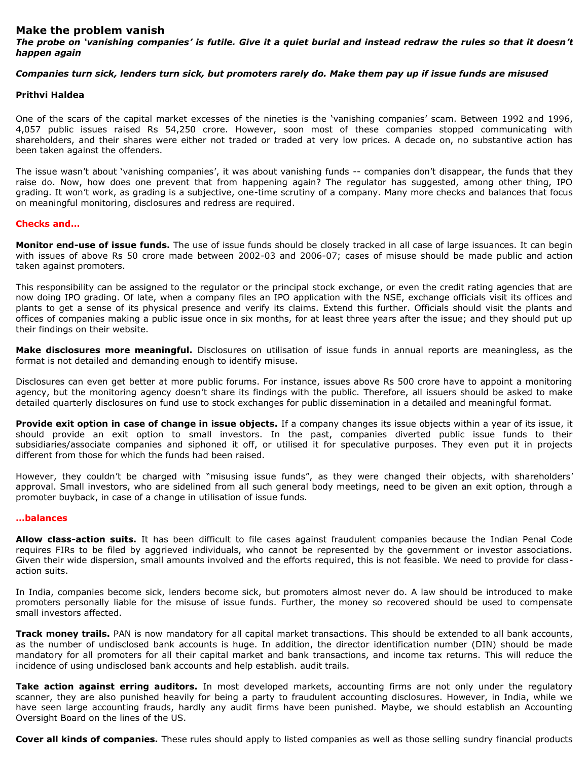### **Make the problem vanish**

*The probe on 'vanishing companies' is futile. Give it a quiet burial and instead redraw the rules so that it doesn't happen again*

## *Companies turn sick, lenders turn sick, but promoters rarely do. Make them pay up if issue funds are misused*

## **Prithvi Haldea**

One of the scars of the capital market excesses of the nineties is the 'vanishing companies' scam. Between 1992 and 1996, 4,057 public issues raised Rs 54,250 crore. However, soon most of these companies stopped communicating with shareholders, and their shares were either not traded or traded at very low prices. A decade on, no substantive action has been taken against the offenders.

The issue wasn't about 'vanishing companies', it was about vanishing funds -- companies don't disappear, the funds that they raise do. Now, how does one prevent that from happening again? The regulator has suggested, among other thing, IPO grading. It won't work, as grading is a subjective, one-time scrutiny of a company. Many more checks and balances that focus on meaningful monitoring, disclosures and redress are required.

# **Checks and…**

**Monitor end-use of issue funds.** The use of issue funds should be closely tracked in all case of large issuances. It can begin with issues of above Rs 50 crore made between 2002-03 and 2006-07; cases of misuse should be made public and action taken against promoters.

This responsibility can be assigned to the regulator or the principal stock exchange, or even the credit rating agencies that are now doing IPO grading. Of late, when a company files an IPO application with the NSE, exchange officials visit its offices and plants to get a sense of its physical presence and verify its claims. Extend this further. Officials should visit the plants and offices of companies making a public issue once in six months, for at least three years after the issue; and they should put up their findings on their website.

**Make disclosures more meaningful.** Disclosures on utilisation of issue funds in annual reports are meaningless, as the format is not detailed and demanding enough to identify misuse.

Disclosures can even get better at more public forums. For instance, issues above Rs 500 crore have to appoint a monitoring agency, but the monitoring agency doesn't share its findings with the public. Therefore, all issuers should be asked to make detailed quarterly disclosures on fund use to stock exchanges for public dissemination in a detailed and meaningful format.

**Provide exit option in case of change in issue objects.** If a company changes its issue objects within a year of its issue, it should provide an exit option to small investors. In the past, companies diverted public issue funds to their subsidiaries/associate companies and siphoned it off, or utilised it for speculative purposes. They even put it in projects different from those for which the funds had been raised.

However, they couldn't be charged with "misusing issue funds", as they were changed their objects, with shareholders' approval. Small investors, who are sidelined from all such general body meetings, need to be given an exit option, through a promoter buyback, in case of a change in utilisation of issue funds.

### **…balances**

**Allow class-action suits.** It has been difficult to file cases against fraudulent companies because the Indian Penal Code requires FIRs to be filed by aggrieved individuals, who cannot be represented by the government or investor associations. Given their wide dispersion, small amounts involved and the efforts required, this is not feasible. We need to provide for classaction suits.

In India, companies become sick, lenders become sick, but promoters almost never do. A law should be introduced to make promoters personally liable for the misuse of issue funds. Further, the money so recovered should be used to compensate small investors affected.

**Track money trails.** PAN is now mandatory for all capital market transactions. This should be extended to all bank accounts, as the number of undisclosed bank accounts is huge. In addition, the director identification number (DIN) should be made mandatory for all promoters for all their capital market and bank transactions, and income tax returns. This will reduce the incidence of using undisclosed bank accounts and help establish. audit trails.

**Take action against erring auditors.** In most developed markets, accounting firms are not only under the regulatory scanner, they are also punished heavily for being a party to fraudulent accounting disclosures. However, in India, while we have seen large accounting frauds, hardly any audit firms have been punished. Maybe, we should establish an Accounting Oversight Board on the lines of the US.

**Cover all kinds of companies.** These rules should apply to listed companies as well as those selling sundry financial products